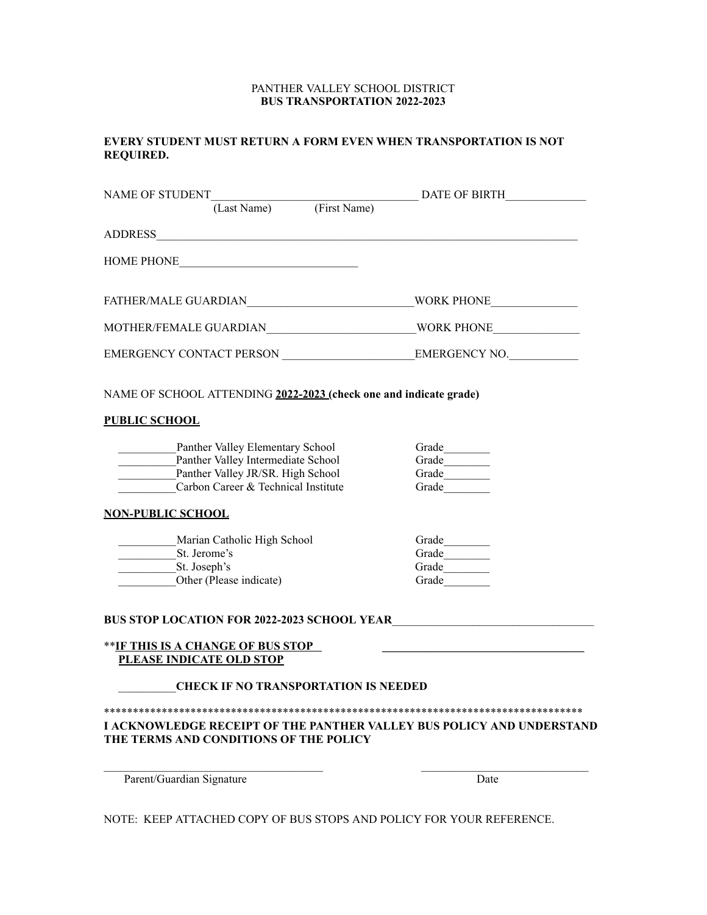## PANTHER VALLEY SCHOOL DISTRICT **BUS TRANSPORTATION 2022-2023**

# **EVERY STUDENT MUST RETURN A FORM EVEN WHEN TRANSPORTATION IS NOT REQUIRED.**

| NAME OF STUDENT                                                                                                                                    | DATE OF BIRTH           |
|----------------------------------------------------------------------------------------------------------------------------------------------------|-------------------------|
| (Last Name) (First Name)                                                                                                                           |                         |
| ADDRESS                                                                                                                                            |                         |
| HOME PHONE                                                                                                                                         |                         |
| FATHER/MALE GUARDIAN WORK PHONE                                                                                                                    |                         |
| MOTHER/FEMALE GUARDIAN MOTHER WORK PHONE                                                                                                           |                         |
|                                                                                                                                                    |                         |
| NAME OF SCHOOL ATTENDING 2022-2023 (check one and indicate grade)                                                                                  |                         |
| <b>PUBLIC SCHOOL</b>                                                                                                                               |                         |
| Panther Valley Elementary School<br>Panther Valley Intermediate School<br>Panther Valley JR/SR. High School<br>Carbon Career & Technical Institute | Grade<br>Grade<br>Grade |
| <b>NON-PUBLIC SCHOOL</b>                                                                                                                           |                         |
| Marian Catholic High School<br>St. Jerome's<br>St. Joseph's<br>Other (Please indicate)                                                             | Grade<br>Grade<br>Grade |
| <b>BUS STOP LOCATION FOR 2022-2023 SCHOOL YEAR</b>                                                                                                 |                         |
| ** <u>IF THIS IS A CHANGE OF BUS STOP</u><br>PLEASE INDICATE OLD STOP                                                                              |                         |
| <b>CHECK IF NO TRANSPORTATION IS NEEDED</b>                                                                                                        |                         |
| I ACKNOWLEDGE RECEIPT OF THE PANTHER VALLEY BUS POLICY AND UNDERSTAND<br>THE TERMS AND CONDITIONS OF THE POLICY                                    |                         |
| Parent/Guardian Signature                                                                                                                          | Date                    |

NOTE: KEEP ATTACHED COPY OF BUS STOPS AND POLICY FOR YOUR REFERENCE.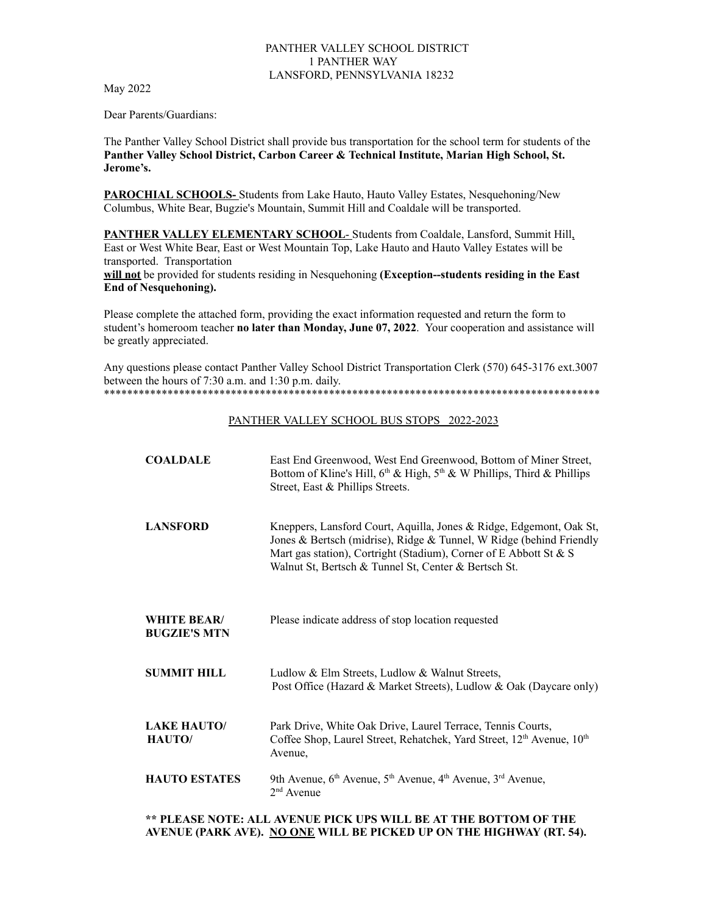## PANTHER VALLEY SCHOOL DISTRICT 1 PANTHER WAY LANSFORD, PENNSYLVANIA 18232

May 2022

Dear Parents/Guardians:

The Panther Valley School District shall provide bus transportation for the school term for students of the **Panther Valley School District, Carbon Career & Technical Institute, Marian High School, St. Jerome's.**

**PAROCHIAL SCHOOLS-** Students from Lake Hauto, Hauto Valley Estates, Nesquehoning/New Columbus, White Bear, Bugzie's Mountain, Summit Hill and Coaldale will be transported.

**PANTHER VALLEY ELEMENTARY SCHOOL**- Students from Coaldale, Lansford, Summit Hill, East or West White Bear, East or West Mountain Top, Lake Hauto and Hauto Valley Estates will be transported. Transportation

**will not** be provided for students residing in Nesquehoning **(Exception--students residing in the East End of Nesquehoning).**

Please complete the attached form, providing the exact information requested and return the form to student's homeroom teacher **no later than Monday, June 07, 2022**. Your cooperation and assistance will be greatly appreciated.

Any questions please contact Panther Valley School District Transportation Clerk (570) 645-3176 ext.3007 between the hours of 7:30 a.m. and 1:30 p.m. daily. \*\*\*\*\*\*\*\*\*\*\*\*\*\*\*\*\*\*\*\*\*\*\*\*\*\*\*\*\*\*\*\*\*\*\*\*\*\*\*\*\*\*\*\*\*\*\*\*\*\*\*\*\*\*\*\*\*\*\*\*\*\*\*\*\*\*\*\*\*\*\*\*\*\*\*\*\*\*\*\*\*\*\*\*\*\*

### PANTHER VALLEY SCHOOL BUS STOPS 2022-2023

| <b>COALDALE</b>                           | East End Greenwood, West End Greenwood, Bottom of Miner Street,<br>Bottom of Kline's Hill, $6th$ & High, $5th$ & W Phillips, Third & Phillips<br>Street, East & Phillips Streets.                                                                                       |
|-------------------------------------------|-------------------------------------------------------------------------------------------------------------------------------------------------------------------------------------------------------------------------------------------------------------------------|
| <b>LANSFORD</b>                           | Kneppers, Lansford Court, Aquilla, Jones & Ridge, Edgemont, Oak St,<br>Jones & Bertsch (midrise), Ridge & Tunnel, W Ridge (behind Friendly<br>Mart gas station), Cortright (Stadium), Corner of E Abbott St & S<br>Walnut St, Bertsch & Tunnel St, Center & Bertsch St. |
| <b>WHITE BEAR/</b><br><b>BUGZIE'S MTN</b> | Please indicate address of stop location requested                                                                                                                                                                                                                      |
| <b>SUMMIT HILL</b>                        | Ludlow & Elm Streets, Ludlow & Walnut Streets,<br>Post Office (Hazard & Market Streets), Ludlow & Oak (Daycare only)                                                                                                                                                    |
| <b>LAKE HAUTO/</b><br>HAUTO/              | Park Drive, White Oak Drive, Laurel Terrace, Tennis Courts,<br>Coffee Shop, Laurel Street, Rehatchek, Yard Street, 12 <sup>th</sup> Avenue, 10 <sup>th</sup><br>Avenue,                                                                                                 |
| <b>HAUTO ESTATES</b>                      | 9th Avenue, $6th$ Avenue, $5th$ Avenue, $4th$ Avenue, $3rd$ Avenue,<br>$2nd$ Avenue                                                                                                                                                                                     |

**\*\* PLEASE NOTE: ALL AVENUE PICK UPS WILL BE AT THE BOTTOM OF THE AVENUE (PARK AVE). NO ONE WILL BE PICKED UP ON THE HIGHWAY (RT. 54).**